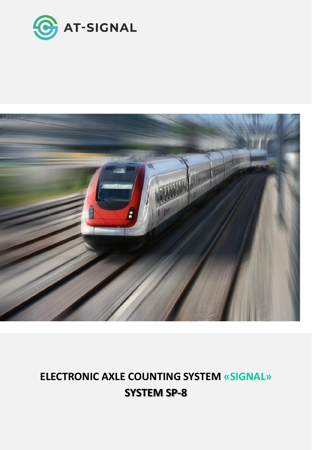



# **ELECTRONIC AXLE COUNTING SYSTEM «SIGNAL» SYSTEM SP-8**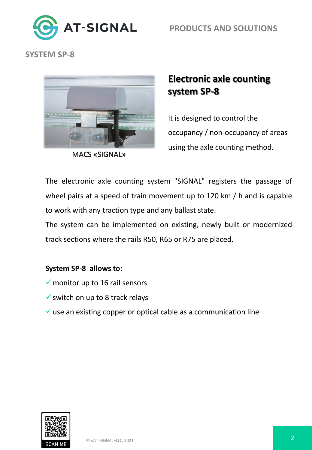

**PRODUCTS AND SOLUTIONS**

**SYSTEM SP-8**



MACS «SIGNAL»

# **Electronic axle counting system SP-8**

It is designed to control the occupancy / non-occupancy of areas using the axle counting method.

The electronic axle counting system "SIGNAL" registers the passage of wheel pairs at a speed of train movement up to 120 km / h and is capable to work with any traction type and any ballast state.

The system can be implemented on existing, newly built or modernized track sections where the rails R50, R65 or R75 are placed.

## **System SP-8 allows to:**

- $\checkmark$  monitor up to 16 rail sensors
- $\checkmark$  switch on up to 8 track relays
- $\checkmark$  use an existing copper or optical cable as a communication line

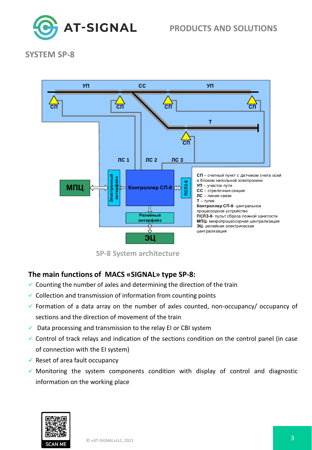

#### **SYSTEM SP-8**



**SP-8 System architecture** 

#### **The main functions of MACS «SIGNAL» type SP-8:**

- $\checkmark$  Counting the number of axles and determining the direction of the train
- $\checkmark$  Collection and transmission of information from counting points
- $\checkmark$  Formation of a data array on the number of axles counted, non-occupancy/ occupancy of sections and the direction of movement of the train
- $\checkmark$  Data processing and transmission to the relay EI or CBI system
- $\checkmark$  Control of track relays and indication of the sections condition on the control panel (in case of connection with the EI system)
- $\checkmark$  Reset of area fault occupancy
- $\checkmark$  Monitoring the system components condition with display of control and diagnostic information on the working place

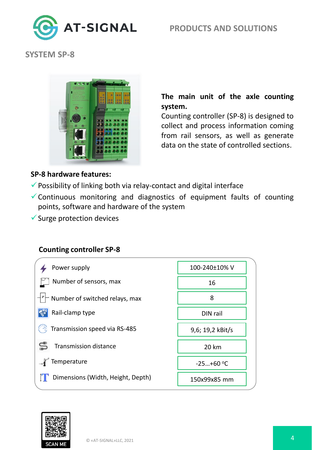

# **PRODUCTS AND SOLUTIONS**

**SYSTEM SP-8**



**The main unit of the axle counting system.**

Counting controller (SP-8) is designed to collect and process information coming from rail sensors, as well as generate data on the state of controlled sections.

#### **SP-8 hardware features:**

- $\checkmark$  Possibility of linking both via relay-contact and digital interface
- $\checkmark$  Continuous monitoring and diagnostics of equipment faults of counting points, software and hardware of the system
- ✓Surge protection devices

#### **Counting controller SP-8**



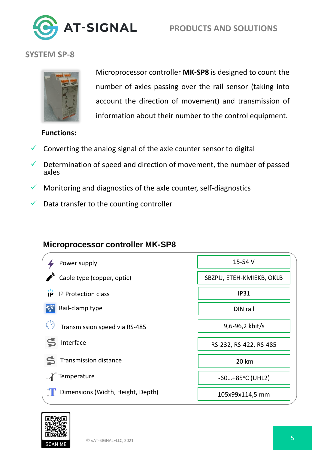

## **SYSTEM SP-8**



Microprocessor controller **MK-SP8** is designed to count the number of axles passing over the rail sensor (taking into account the direction of movement) and transmission of information about their number to the control equipment.

#### **Functions:**

- $\checkmark$  Converting the analog signal of the axle counter sensor to digital
- $\checkmark$  Determination of speed and direction of movement, the number of passed axles
- $\checkmark$  Monitoring and diagnostics of the axle counter, self-diagnostics
- Data transfer to the counting controller

#### **Microprocessor controller MK-SP8**